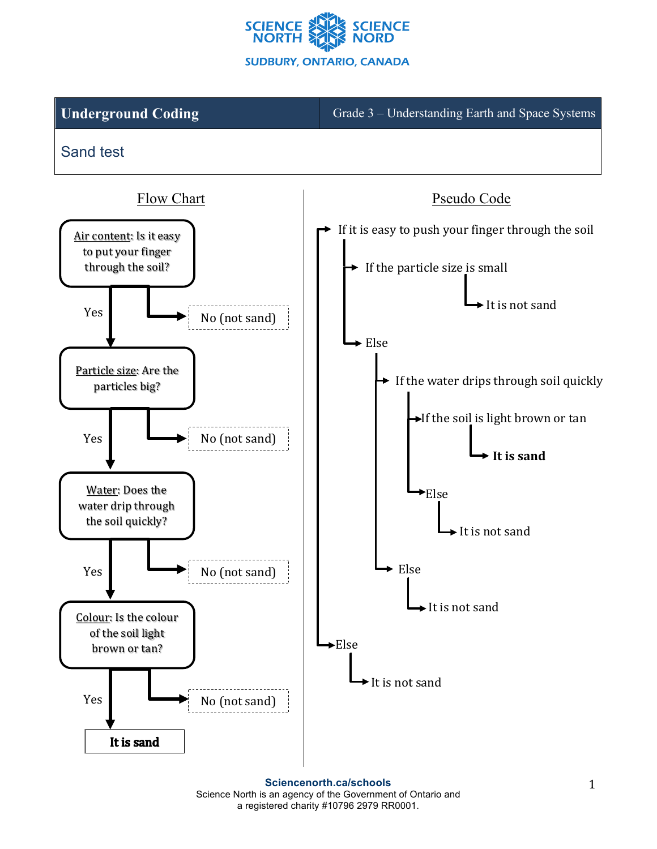

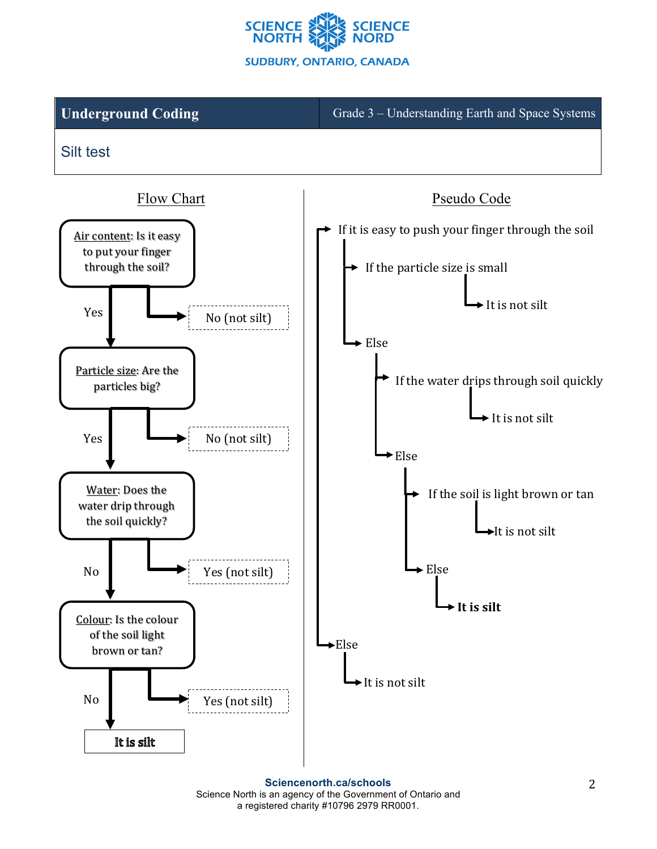

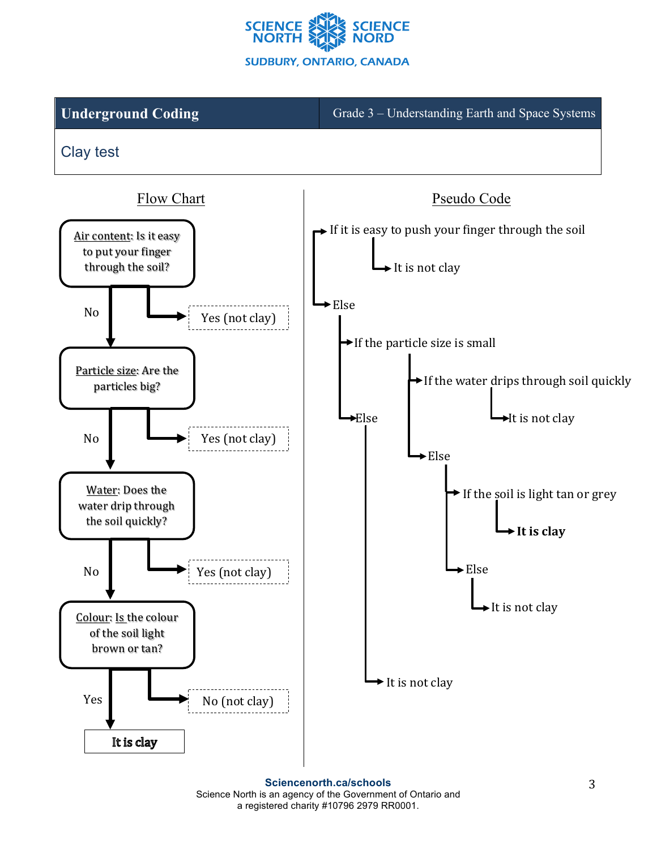

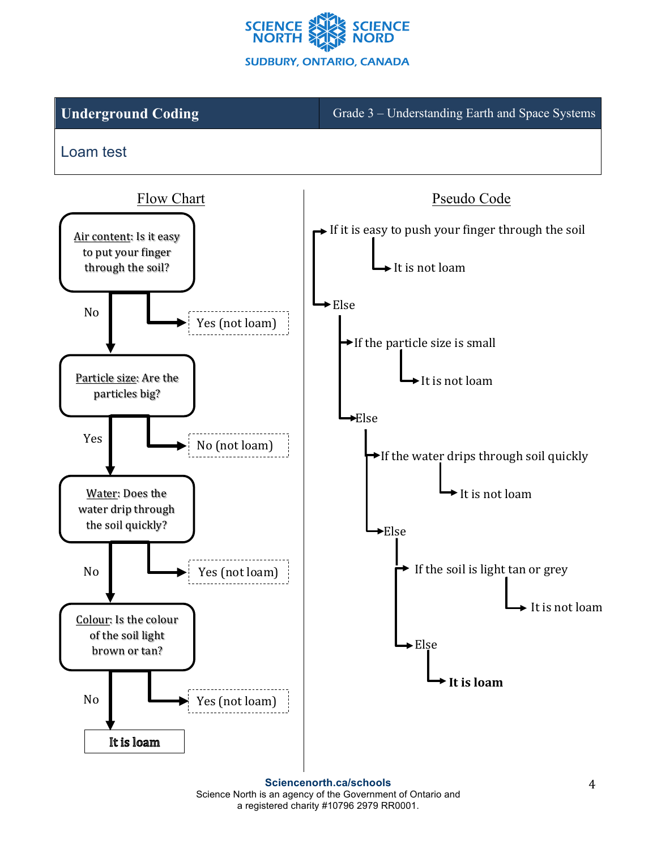

**Underground Coding** Grade 3 – Understanding Earth and Space Systems

Loam test